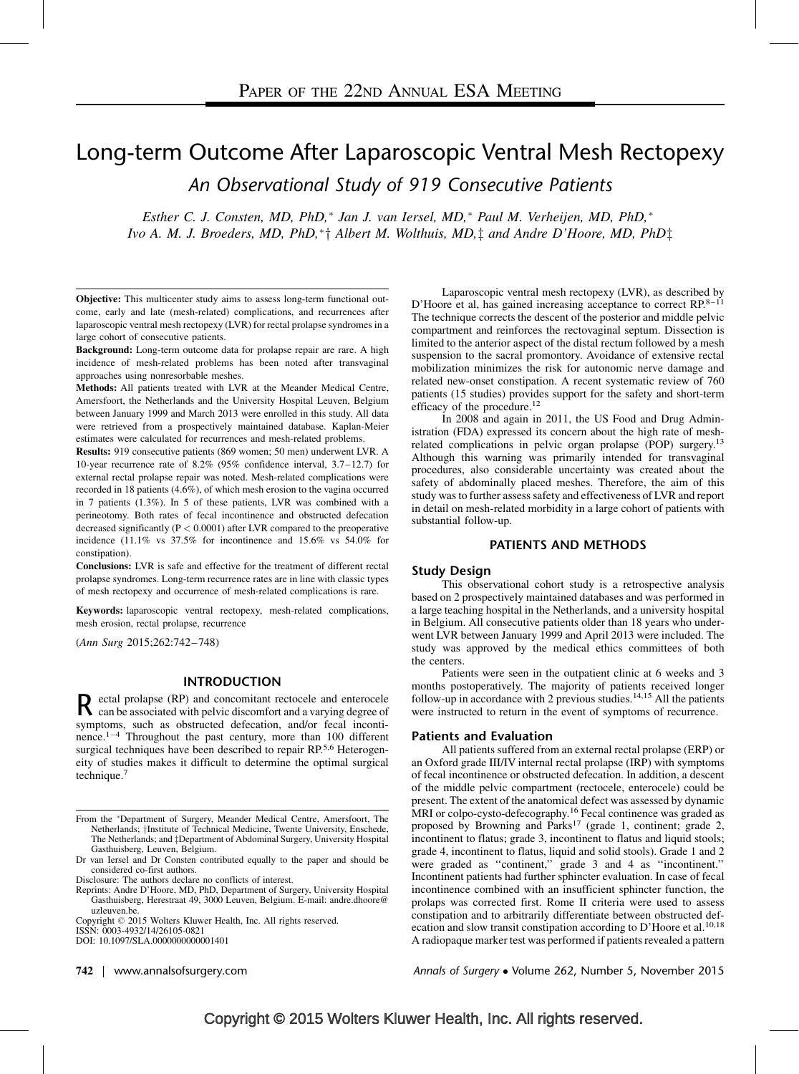# Long-term Outcome After Laparoscopic Ventral Mesh Rectopexy An Observational Study of 919 Consecutive Patients

Esther C. J. Consten, MD, PhD,<sup>\*</sup> Jan J. van Iersel, MD,<sup>\*</sup> Paul M. Verheijen, MD, PhD,<sup>\*</sup> Ivo A. M. J. Broeders, MD, PhD,\* $\dagger$  Albert M. Wolthuis, MD, $\dagger$  and Andre D'Hoore, MD, PhD $\dagger$ 

Objective: This multicenter study aims to assess long-term functional outcome, early and late (mesh-related) complications, and recurrences after laparoscopic ventral mesh rectopexy (LVR) for rectal prolapse syndromes in a large cohort of consecutive patients.

Background: Long-term outcome data for prolapse repair are rare. A high incidence of mesh-related problems has been noted after transvaginal approaches using nonresorbable meshes.

Methods: All patients treated with LVR at the Meander Medical Centre, Amersfoort, the Netherlands and the University Hospital Leuven, Belgium between January 1999 and March 2013 were enrolled in this study. All data were retrieved from a prospectively maintained database. Kaplan-Meier estimates were calculated for recurrences and mesh-related problems.

Results: 919 consecutive patients (869 women; 50 men) underwent LVR. A 10-year recurrence rate of 8.2% (95% confidence interval, 3.7–12.7) for external rectal prolapse repair was noted. Mesh-related complications were recorded in 18 patients (4.6%), of which mesh erosion to the vagina occurred in 7 patients (1.3%). In 5 of these patients, LVR was combined with a perineotomy. Both rates of fecal incontinence and obstructed defecation decreased significantly ( $P < 0.0001$ ) after LVR compared to the preoperative incidence (11.1% vs 37.5% for incontinence and 15.6% vs 54.0% for constipation).

Conclusions: LVR is safe and effective for the treatment of different rectal prolapse syndromes. Long-term recurrence rates are in line with classic types of mesh rectopexy and occurrence of mesh-related complications is rare.

Keywords: laparoscopic ventral rectopexy, mesh-related complications, mesh erosion, rectal prolapse, recurrence

(Ann Surg 2015;262:742–748)

## INTRODUCTION

R ectal prolapse (RP) and concomitant rectocele and enterocele can be associated with pelvic discomfort and a varying degree of can be associated with pelvic discomfort and a varying degree of symptoms, such as obstructed defecation, and/or fecal incontinence. $1-4$  Throughout the past century, more than 100 different surgical techniques have been described to repair RP.<sup>[5,6](#page-4-0)</sup> Heterogeneity of studies makes it difficult to determine the optimal surgical technique.[7](#page-4-0)

Reprints: Andre D'Hoore, MD, PhD, Department of Surgery, University Hospital Gasthuisberg, Herestraat 49, 3000 Leuven, Belgium. E-mail: [andre.dhoore@](mailto:andre.dhoore@uzleuven.be) [uzleuven.be](mailto:andre.dhoore@uzleuven.be).

Copyright  $\oslash$  2015 Wolters Kluwer Health, Inc. All rights reserved.

ISSN: 0003-4932/14/26105-0821

DOI: 10.1097/SLA.0000000000001401

 $742$  | www.annals of surgery.com

Laparoscopic ventral mesh rectopexy (LVR), as described by D'Hoore et al, has gained increasing acceptance to correct RP.[8–11](#page-4-0) The technique corrects the descent of the posterior and middle pelvic compartment and reinforces the rectovaginal septum. Dissection is limited to the anterior aspect of the distal rectum followed by a mesh suspension to the sacral promontory. Avoidance of extensive rectal mobilization minimizes the risk for autonomic nerve damage and related new-onset constipation. A recent systematic review of 760 patients (15 studies) provides support for the safety and short-term efficacy of the procedure.<sup>[12](#page-4-0)</sup>

In 2008 and again in 2011, the US Food and Drug Administration (FDA) expressed its concern about the high rate of meshrelated complications in pelvic organ prolapse (POP) surgery.<sup>13</sup> Although this warning was primarily intended for transvaginal procedures, also considerable uncertainty was created about the safety of abdominally placed meshes. Therefore, the aim of this study was to further assess safety and effectiveness of LVR and report in detail on mesh-related morbidity in a large cohort of patients with substantial follow-up.

## PATIENTS AND METHODS

#### Study Design

This observational cohort study is a retrospective analysis based on 2 prospectively maintained databases and was performed in a large teaching hospital in the Netherlands, and a university hospital in Belgium. All consecutive patients older than 18 years who underwent LVR between January 1999 and April 2013 were included. The study was approved by the medical ethics committees of both the centers.

Patients were seen in the outpatient clinic at 6 weeks and 3 months postoperatively. The majority of patients received longer follow-up in accordance with 2 previous studies.<sup>[14,15](#page-4-0)</sup> All the patients were instructed to return in the event of symptoms of recurrence.

## Patients and Evaluation

All patients suffered from an external rectal prolapse (ERP) or an Oxford grade III/IV internal rectal prolapse (IRP) with symptoms of fecal incontinence or obstructed defecation. In addition, a descent of the middle pelvic compartment (rectocele, enterocele) could be present. The extent of the anatomical defect was assessed by dynamic MRI or colpo-cysto-defecography.<sup>[16](#page-4-0)</sup> Fecal continence was graded as proposed by Browning and Parks<sup>[17](#page-5-0)</sup> (grade 1, continent; grade 2, incontinent to flatus; grade 3, incontinent to flatus and liquid stools; grade 4, incontinent to flatus, liquid and solid stools). Grade 1 and 2 were graded as "continent," grade 3 and 4 as "incontinent." Incontinent patients had further sphincter evaluation. In case of fecal incontinence combined with an insufficient sphincter function, the prolaps was corrected first. Rome II criteria were used to assess constipation and to arbitrarily differentiate between obstructed def-ecation and slow transit constipation according to D'Hoore et al.<sup>[10,18](#page-4-0)</sup> A radiopaque marker test was performed if patients revealed a pattern

Annals of Surgery • Volume 262, Number 5, November 2015

From the Department of Surgery, Meander Medical Centre, Amersfoort, The Netherlands; †Institute of Technical Medicine, Twente University, Enschede, The Netherlands; and  $\ddagger$ Department of Abdominal Surgery, University Hospital Gasthuisberg, Leuven, Belgium.

Dr van Iersel and Dr Consten contributed equally to the paper and should be considered co-first authors.

Disclosure: The authors declare no conflicts of interest.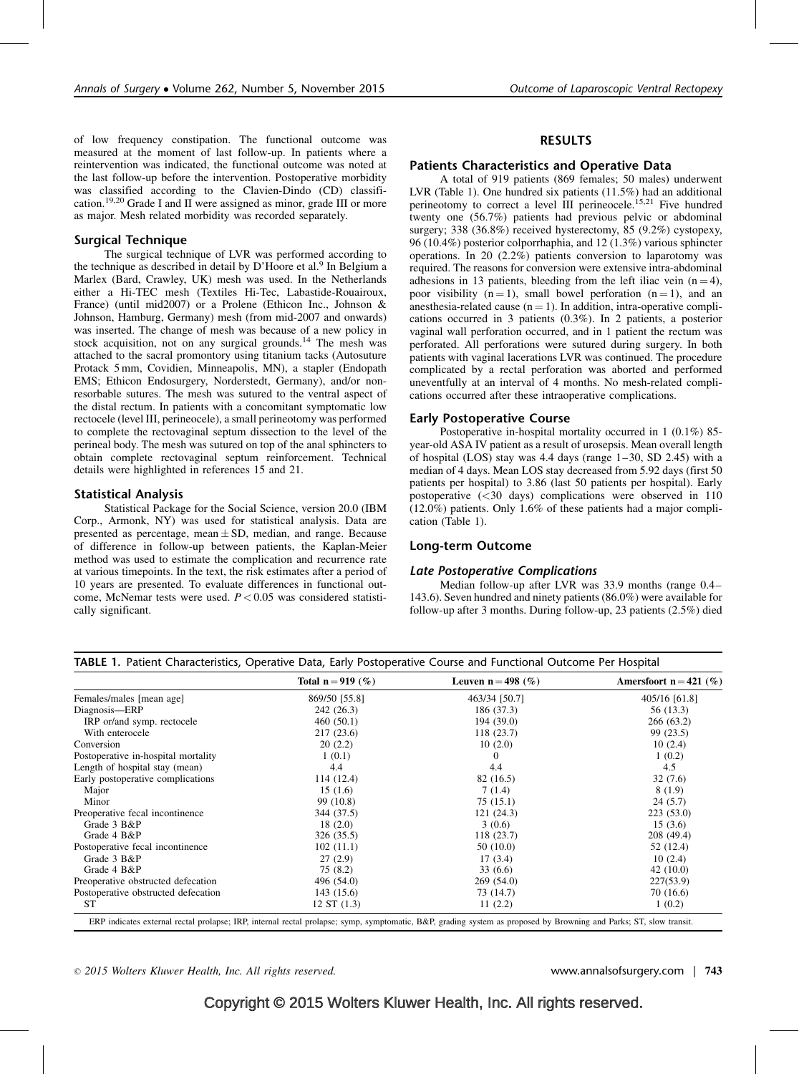of low frequency constipation. The functional outcome was measured at the moment of last follow-up. In patients where a reintervention was indicated, the functional outcome was noted at the last follow-up before the intervention. Postoperative morbidity was classified according to the Clavien-Dindo (CD) classification.[19,20](#page-5-0) Grade I and II were assigned as minor, grade III or more as major. Mesh related morbidity was recorded separately.

## Surgical Technique

The surgical technique of LVR was performed according to the technique as described in detail by D'Hoore et al.<sup>9</sup> In Belgium a Marlex (Bard, Crawley, UK) mesh was used. In the Netherlands either a Hi-TEC mesh (Textiles Hi-Tec, Labastide-Rouairoux, France) (until mid2007) or a Prolene (Ethicon Inc., Johnson & Johnson, Hamburg, Germany) mesh (from mid-2007 and onwards) was inserted. The change of mesh was because of a new policy in stock acquisition, not on any surgical grounds.[14](#page-4-0) The mesh was attached to the sacral promontory using titanium tacks (Autosuture Protack 5 mm, Covidien, Minneapolis, MN), a stapler (Endopath EMS; Ethicon Endosurgery, Norderstedt, Germany), and/or nonresorbable sutures. The mesh was sutured to the ventral aspect of the distal rectum. In patients with a concomitant symptomatic low rectocele (level III, perineocele), a small perineotomy was performed to complete the rectovaginal septum dissection to the level of the perineal body. The mesh was sutured on top of the anal sphincters to obtain complete rectovaginal septum reinforcement. Technical details were highlighted in references 15 and 21.

## Statistical Analysis

Statistical Package for the Social Science, version 20.0 (IBM Corp., Armonk, NY) was used for statistical analysis. Data are presented as percentage, mean  $\pm$  SD, median, and range. Because of difference in follow-up between patients, the Kaplan-Meier method was used to estimate the complication and recurrence rate at various timepoints. In the text, the risk estimates after a period of 10 years are presented. To evaluate differences in functional outcome, McNemar tests were used.  $P < 0.05$  was considered statistically significant.

## RESULTS

## Patients Characteristics and Operative Data

A total of 919 patients (869 females; 50 males) underwent LVR (Table 1). One hundred six patients (11.5%) had an additional perineotomy to correct a level III perineocele.<sup>[15,21](#page-4-0)</sup> Five hundred twenty one (56.7%) patients had previous pelvic or abdominal surgery; 338 (36.8%) received hysterectomy, 85 (9.2%) cystopexy, 96 (10.4%) posterior colporrhaphia, and 12 (1.3%) various sphincter operations. In 20 (2.2%) patients conversion to laparotomy was required. The reasons for conversion were extensive intra-abdominal adhesions in 13 patients, bleeding from the left iliac vein  $(n = 4)$ , poor visibility  $(n = 1)$ , small bowel perforation  $(n = 1)$ , and an anesthesia-related cause  $(n = 1)$ . In addition, intra-operative complications occurred in 3 patients (0.3%). In 2 patients, a posterior vaginal wall perforation occurred, and in 1 patient the rectum was perforated. All perforations were sutured during surgery. In both patients with vaginal lacerations LVR was continued. The procedure complicated by a rectal perforation was aborted and performed uneventfully at an interval of 4 months. No mesh-related complications occurred after these intraoperative complications.

## Early Postoperative Course

Postoperative in-hospital mortality occurred in 1 (0.1%) 85 year-old ASA IV patient as a result of urosepsis. Mean overall length of hospital (LOS) stay was 4.4 days (range 1–30, SD 2.45) with a median of 4 days. Mean LOS stay decreased from 5.92 days (first 50 patients per hospital) to 3.86 (last 50 patients per hospital). Early postoperative (<30 days) complications were observed in 110  $(12.0\%)$  patients. Only 1.6% of these patients had a major complication (Table 1).

## Long-term Outcome

#### Late Postoperative Complications

Median follow-up after LVR was 33.9 months (range 0.4– 143.6). Seven hundred and ninety patients (86.0%) were available for follow-up after 3 months. During follow-up, 23 patients (2.5%) died

|                                     | Total $n = 919$ (%) | Leuven $n = 498$ (%) | Amersfoort $n = 421$ (%) |
|-------------------------------------|---------------------|----------------------|--------------------------|
| Females/males [mean age]            | 869/50 [55.8]       | 463/34 [50.7]        | 405/16 [61.8]            |
| Diagnosis-ERP                       | 242 (26.3)          | 186 (37.3)           | 56 (13.3)                |
| IRP or/and symp. rectocele          | 460(50.1)           | 194 (39.0)           | 266 (63.2)               |
| With enterocele                     | 217 (23.6)          | 118 (23.7)           | 99 (23.5)                |
| Conversion                          | 20(2.2)             | 10(2.0)              | 10(2.4)                  |
| Postoperative in-hospital mortality | 1(0.1)              | 0                    | 1(0.2)                   |
| Length of hospital stay (mean)      | 4.4                 | 4.4                  | 4.5                      |
| Early postoperative complications   | 114 (12.4)          | 82 (16.5)            | 32(7.6)                  |
| Major                               | 15(1.6)             | 7(1.4)               | 8(1.9)                   |
| Minor                               | 99 (10.8)           | 75(15.1)             | 24(5.7)                  |
| Preoperative fecal incontinence     | 344 (37.5)          | 121(24.3)            | 223(53.0)                |
| Grade 3 B&P                         | 18(2.0)             | 3(0.6)               | 15(3.6)                  |
| Grade 4 B&P                         | 326 (35.5)          | 118(23.7)            | 208 (49.4)               |
| Postoperative fecal incontinence    | 102(11.1)           | 50(10.0)             | 52 (12.4)                |
| Grade 3 B&P                         | 27(2.9)             | 17(3.4)              | 10(2.4)                  |
| Grade 4 B&P                         | 75(8.2)             | 33(6.6)              | 42(10.0)                 |
| Preoperative obstructed defecation  | 496 (54.0)          | 269 (54.0)           | 227(53.9)                |
| Postoperative obstructed defecation | 143 (15.6)          | 73 (14.7)            | 70 (16.6)                |
| <b>ST</b>                           | 12 ST(1.3)          | 11(2.2)              | 1(0.2)                   |

 $\degree$  2015 Wolters Kluwer Health, Inc. All rights reserved. example the served www.annalsofsurgery.com | 743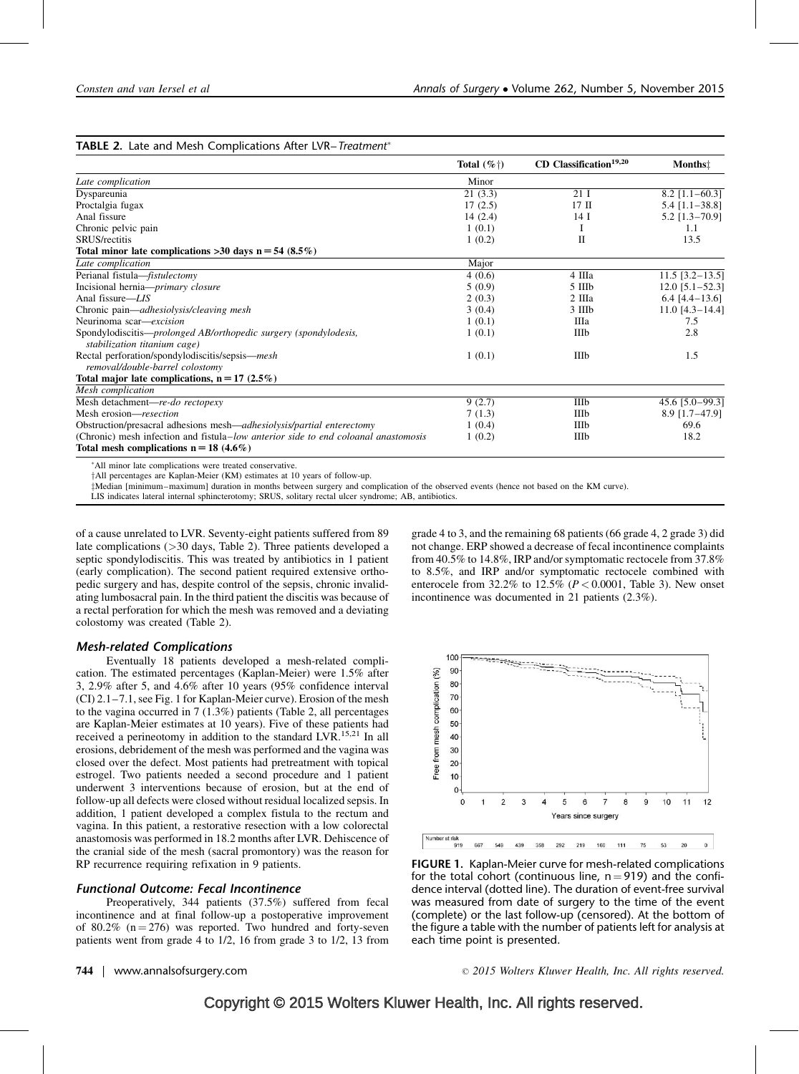## TABLE 2. Late and Mesh Complications After LVR-Treatment®

|                                                                                                  | Total $(\%^{\dagger})$ | CD Classification <sup>19,20</sup> | <b>Months!</b>    |
|--------------------------------------------------------------------------------------------------|------------------------|------------------------------------|-------------------|
| Late complication                                                                                | Minor                  |                                    |                   |
| Dyspareunia                                                                                      | 21(3.3)                | 21I                                | $8.2$ [1.1-60.3]  |
| Proctalgia fugax                                                                                 | 17(2.5)                | $17$ II                            | $5.4$ [1.1-38.8]  |
| Anal fissure                                                                                     | 14(2.4)                | 14 <sub>1</sub>                    | $5.2$ [1.3-70.9]  |
| Chronic pelvic pain                                                                              | 1(0.1)                 | I                                  | 1.1               |
| <b>SRUS/rectitis</b>                                                                             | 1(0.2)                 | П                                  | 13.5              |
| Total minor late complications >30 days $n = 54$ (8.5%)                                          |                        |                                    |                   |
| Late complication                                                                                | Major                  |                                    |                   |
| Perianal fistula-fistulectomy                                                                    | 4(0.6)                 | 4 IIIa                             | $11.5$ [3.2-13.5] |
| Incisional hernia- <i>primary closure</i>                                                        | 5(0.9)                 | $5 \n  IIIb$                       | $12.0$ [5.1-52.3] |
| Anal fissure-LIS                                                                                 | 2(0.3)                 | 2 IIIa                             | $6.4$ [4.4-13.6]  |
| Chronic pain—adhesiolysis/cleaving mesh                                                          | 3(0.4)                 | 3 IIIb                             | $11.0$ [4.3-14.4] |
| Neurinoma scar-excision                                                                          | 1(0.1)                 | Шa                                 | 7.5               |
| Spondylodiscitis-prolonged AB/orthopedic surgery (spondylodesis,<br>stabilization titanium cage) | 1(0.1)                 | IIIb                               | 2.8               |
| Rectal perforation/spondylodiscitis/sepsis—mesh<br>removal/double-barrel colostomy               | 1(0.1)                 | IIIb                               | 1.5               |
| Total major late complications, $n = 17$ (2.5%)                                                  |                        |                                    |                   |
| Mesh complication                                                                                |                        |                                    |                   |
| Mesh detachment-re-do rectopexy                                                                  | 9(2.7)                 | IIIb                               | 45.6 [5.0-99.3]   |
| Mesh erosion—resection                                                                           | 7(1.3)                 | IIIb                               | $8.9$ [1.7-47.9]  |
| Obstruction/presacral adhesions mesh—adhesiolysis/partial enterectomy                            | 1(0.4)                 | IIIb                               | 69.6              |
| (Chronic) mesh infection and fistula–low anterior side to end coloanal anastomosis               | 1(0.2)                 | IIIb                               | 18.2              |
| Total mesh complications $n = 18$ (4.6%)                                                         |                        |                                    |                   |

All minor late complications were treated conservative.

<sup>†</sup>All percentages are Kaplan-Meier (KM) estimates at 10 years of follow-up.

zMedian [minimum–maximum] duration in months between surgery and complication of the observed events (hence not based on the KM curve).

LIS indicates lateral internal sphincterotomy; SRUS, solitary rectal ulcer syndrome; AB, antibiotics.

of a cause unrelated to LVR. Seventy-eight patients suffered from 89 late complications (>30 days, Table 2). Three patients developed a septic spondylodiscitis. This was treated by antibiotics in 1 patient (early complication). The second patient required extensive orthopedic surgery and has, despite control of the sepsis, chronic invalidating lumbosacral pain. In the third patient the discitis was because of a rectal perforation for which the mesh was removed and a deviating colostomy was created (Table 2).

## Mesh-related Complications

Eventually 18 patients developed a mesh-related complication. The estimated percentages (Kaplan-Meier) were 1.5% after 3, 2.9% after 5, and 4.6% after 10 years (95% confidence interval (CI) 2.1–7.1, see Fig. 1 for Kaplan-Meier curve). Erosion of the mesh to the vagina occurred in 7 (1.3%) patients (Table 2, all percentages are Kaplan-Meier estimates at 10 years). Five of these patients had received a perineotomy in addition to the standard LVR.<sup>[15,21](#page-4-0)</sup> In all erosions, debridement of the mesh was performed and the vagina was closed over the defect. Most patients had pretreatment with topical estrogel. Two patients needed a second procedure and 1 patient underwent 3 interventions because of erosion, but at the end of follow-up all defects were closed without residual localized sepsis. In addition, 1 patient developed a complex fistula to the rectum and vagina. In this patient, a restorative resection with a low colorectal anastomosis was performed in 18.2 months after LVR. Dehiscence of the cranial side of the mesh (sacral promontory) was the reason for RP recurrence requiring refixation in 9 patients.

## Functional Outcome: Fecal Incontinence

Preoperatively, 344 patients (37.5%) suffered from fecal incontinence and at final follow-up a postoperative improvement of 80.2%  $(n = 276)$  was reported. Two hundred and forty-seven patients went from grade 4 to 1/2, 16 from grade 3 to 1/2, 13 from grade 4 to 3, and the remaining 68 patients (66 grade 4, 2 grade 3) did not change. ERP showed a decrease of fecal incontinence complaints from 40.5% to 14.8%, IRP and/or symptomatic rectocele from 37.8% to 8.5%, and IRP and/or symptomatic rectocele combined with enterocele from  $32.2\%$  to  $12.5\%$  ( $P < 0.0001$ , Table 3). New onset incontinence was documented in 21 patients (2.3%).



FIGURE 1. Kaplan-Meier curve for mesh-related complications for the total cohort (continuous line,  $n = 919$ ) and the confidence interval (dotted line). The duration of event-free survival was measured from date of surgery to the time of the event (complete) or the last follow-up (censored). At the bottom of the figure a table with the number of patients left for analysis at each time point is presented.

744 | www.annalsofsurgery.com 2015 Wolters Kluwer Health, Inc. All rights reserved.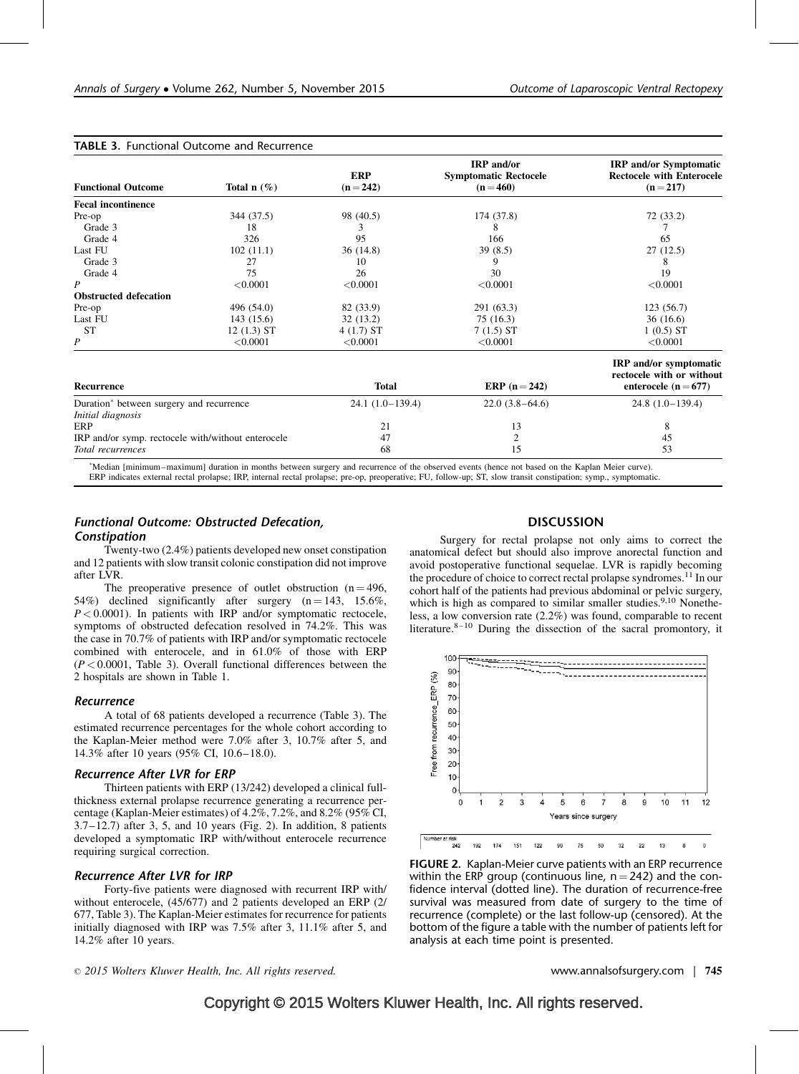TABLE 3. Functional Outcome and Recurrence

| <b>Functional Outcome</b>                          | Total $n$ (%) | <b>ERP</b><br>$(n = 242)$ | <b>IRP</b> and/or<br><b>Symptomatic Rectocele</b><br>$(n = 460)$ | <b>IRP</b> and/or Symptomatic<br><b>Rectocele with Enterocele</b><br>$(n=217)$         |
|----------------------------------------------------|---------------|---------------------------|------------------------------------------------------------------|----------------------------------------------------------------------------------------|
| <b>Fecal incontinence</b>                          |               |                           |                                                                  |                                                                                        |
| Pre-op                                             | 344 (37.5)    | 98 (40.5)                 | 174 (37.8)                                                       | 72 (33.2)                                                                              |
| Grade 3                                            | 18            | 3                         | 8                                                                |                                                                                        |
| Grade 4                                            | 326           | 95                        | 166                                                              | 65                                                                                     |
| Last FU                                            | 102(11.1)     | 36(14.8)                  | 39(8.5)                                                          | 27(12.5)                                                                               |
| Grade 3                                            | 27            | 10                        | 9                                                                | 8                                                                                      |
| Grade 4                                            | 75            | 26                        | 30                                                               | 19                                                                                     |
| P                                                  | < 0.0001      | < 0.0001                  | < 0.0001                                                         | < 0.0001                                                                               |
| <b>Obstructed defecation</b>                       |               |                           |                                                                  |                                                                                        |
| Pre-op                                             | 496 (54.0)    | 82 (33.9)                 | 291 (63.3)                                                       | 123(56.7)                                                                              |
| Last FU                                            | 143(15.6)     | 32(13.2)                  | 75 (16.3)                                                        | 36(16.6)                                                                               |
| <b>ST</b>                                          | $12(1.3)$ ST  | $4(1.7)$ ST               | $7(1.5)$ ST                                                      | $1(0.5)$ ST                                                                            |
| P                                                  | < 0.0001      | < 0.0001                  | < 0.0001                                                         | < 0.0001                                                                               |
| <b>Recurrence</b>                                  |               | <b>Total</b>              | ERP $(n = 242)$                                                  | <b>IRP</b> and/or symptomatic<br>rectocele with or without<br>enterocele ( $n = 677$ ) |
| Duration* between surgery and recurrence           |               | $24.1(1.0-139.4)$         | $22.0(3.8-64.6)$                                                 | $24.8(1.0-139.4)$                                                                      |
| Initial diagnosis                                  |               |                           |                                                                  |                                                                                        |
| <b>ERP</b>                                         |               | 21                        | 13                                                               | 8                                                                                      |
| IRP and/or symp. rectocele with/without enterocele |               | 47                        | 2                                                                | 45                                                                                     |
| Total recurrences                                  |               | 68                        | 15                                                               | 53                                                                                     |
|                                                    |               |                           |                                                                  |                                                                                        |

 Median [minimum–maximum] duration in months between surgery and recurrence of the observed events (hence not based on the Kaplan Meier curve). ERP indicates external rectal prolapse; IRP, internal rectal prolapse; pre-op, preoperative; FU, follow-up; ST, slow transit constipation; symp., symptomatic.

## Functional Outcome: Obstructed Defecation, Constipation

Twenty-two (2.4%) patients developed new onset constipation and 12 patients with slow transit colonic constipation did not improve after LVR.

The preoperative presence of outlet obstruction  $(n = 496,$ 54%) declined significantly after surgery  $(n = 143, 15.6\%$ ,  $P < 0.0001$ ). In patients with IRP and/or symptomatic rectocele, symptoms of obstructed defecation resolved in 74.2%. This was the case in 70.7% of patients with IRP and/or symptomatic rectocele combined with enterocele, and in 61.0% of those with ERP  $(P < 0.0001$ , Table 3). Overall functional differences between the 2 hospitals are shown in Table 1.

#### Recurrence

A total of 68 patients developed a recurrence (Table 3). The estimated recurrence percentages for the whole cohort according to the Kaplan-Meier method were 7.0% after 3, 10.7% after 5, and 14.3% after 10 years (95% CI, 10.6–18.0).

## Recurrence After LVR for ERP

Thirteen patients with ERP (13/242) developed a clinical fullthickness external prolapse recurrence generating a recurrence percentage (Kaplan-Meier estimates) of 4.2%, 7.2%, and 8.2% (95% CI, 3.7–12.7) after 3, 5, and 10 years (Fig. 2). In addition, 8 patients developed a symptomatic IRP with/without enterocele recurrence requiring surgical correction.

## Recurrence After LVR for IRP

Forty-five patients were diagnosed with recurrent IRP with/ without enterocele, (45/677) and 2 patients developed an ERP (2/ 677, Table 3). The Kaplan-Meier estimates for recurrence for patients initially diagnosed with IRP was 7.5% after 3, 11.1% after 5, and 14.2% after 10 years.

## **DISCUSSION**

Surgery for rectal prolapse not only aims to correct the anatomical defect but should also improve anorectal function and avoid postoperative functional sequelae. LVR is rapidly becoming the procedure of choice to correct rectal prolapse syndromes.[11](#page-4-0) In our cohort half of the patients had previous abdominal or pelvic surgery, which is high as compared to similar smaller studies.<sup>[9,10](#page-4-0)</sup> Nonetheless, a low conversion rate (2.2%) was found, comparable to recent literature. $8-10$  During the dissection of the sacral promontory, it



FIGURE 2. Kaplan-Meier curve patients with an ERP recurrence within the ERP group (continuous line,  $n = 242$ ) and the confidence interval (dotted line). The duration of recurrence-free survival was measured from date of surgery to the time of recurrence (complete) or the last follow-up (censored). At the bottom of the figure a table with the number of patients left for analysis at each time point is presented.

2015 Wolters Kluwer Health, Inc. All rights reserved. www.annalsofsurgery.com | 745

## Copyright © 2015 Wolters Kluwer Health, Inc. All rights reserved.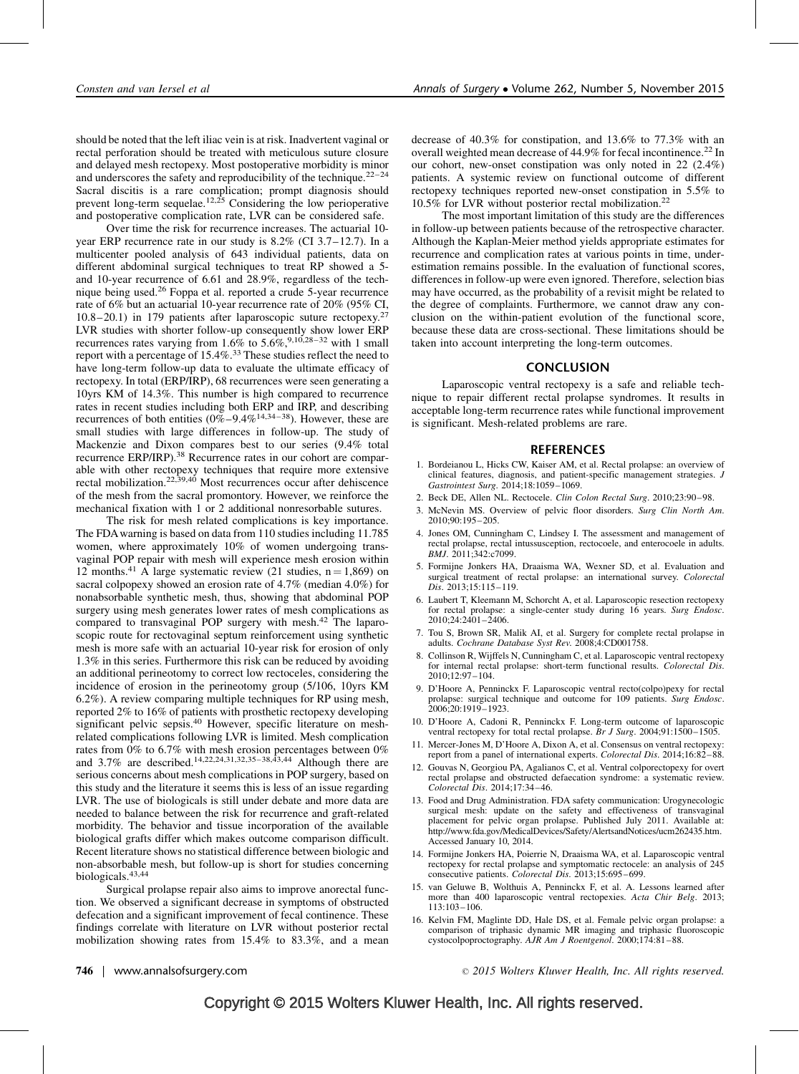<span id="page-4-0"></span>should be noted that the left iliac vein is at risk. Inadvertent vaginal or rectal perforation should be treated with meticulous suture closure and delayed mesh rectopexy. Most postoperative morbidity is minor and underscores the safety and reproducibility of the technique.<sup>22-24</sup> Sacral discitis is a rare complication; prompt diagnosis should prevent long-term sequelae.<sup>12,25</sup> Considering the low perioperative and postoperative complication rate, LVR can be considered safe.

Over time the risk for recurrence increases. The actuarial 10 year ERP recurrence rate in our study is 8.2% (CI 3.7–12.7). In a multicenter pooled analysis of 643 individual patients, data on different abdominal surgical techniques to treat RP showed a 5 and 10-year recurrence of 6.61 and 28.9%, regardless of the technique being used.[26](#page-5-0) Foppa et al. reported a crude 5-year recurrence rate of 6% but an actuarial 10-year recurrence rate of 20% (95% CI, 10.8–20.1) in 179 patients after laparoscopic suture rectopexy.[27](#page-5-0) LVR studies with shorter follow-up consequently show lower ERP recurrences rates varying from 1.6% to 5.6%,<sup>9,10,28-32</sup> with 1 small report with a percentage of  $15.4\%$ <sup>[33](#page-5-0)</sup> These studies reflect the need to have long-term follow-up data to evaluate the ultimate efficacy of rectopexy. In total (ERP/IRP), 68 recurrences were seen generating a 10yrs KM of 14.3%. This number is high compared to recurrence rates in recent studies including both ERP and IRP, and describing recurrences of both entities  $(0\% - 9.4\%^{14,34-38})$ . However, these are small studies with large differences in follow-up. The study of Mackenzie and Dixon compares best to our series (9.4% total recurrence ERP/IRP).<sup>[38](#page-5-0)</sup> Recurrence rates in our cohort are comparable with other rectopexy techniques that require more extensive rectal mobilization.[22,39,40](#page-5-0) Most recurrences occur after dehiscence of the mesh from the sacral promontory. However, we reinforce the mechanical fixation with 1 or 2 additional nonresorbable sutures.

The risk for mesh related complications is key importance. The FDAwarning is based on data from 110 studies including 11.785 women, where approximately 10% of women undergoing transvaginal POP repair with mesh will experience mesh erosion within 12 months.<sup>[41](#page-5-0)</sup> A large systematic review (21 studies,  $n = 1,869$ ) on sacral colpopexy showed an erosion rate of 4.7% (median 4.0%) for nonabsorbable synthetic mesh, thus, showing that abdominal POP surgery using mesh generates lower rates of mesh complications as compared to transvaginal POP surgery with mesh.<sup>[42](#page-5-0)</sup> The laparoscopic route for rectovaginal septum reinforcement using synthetic mesh is more safe with an actuarial 10-year risk for erosion of only 1.3% in this series. Furthermore this risk can be reduced by avoiding an additional perineotomy to correct low rectoceles, considering the incidence of erosion in the perineotomy group (5/106, 10yrs KM 6.2%). A review comparing multiple techniques for RP using mesh, reported 2% to 16% of patients with prosthetic rectopexy developing significant pelvic sepsis.<sup>40</sup> However, specific literature on meshrelated complications following LVR is limited. Mesh complication rates from 0% to 6.7% with mesh erosion percentages between 0% and 3.7% are described.14,22,24,31,32,35–38,43,44 Although there are serious concerns about mesh complications in POP surgery, based on this study and the literature it seems this is less of an issue regarding LVR. The use of biologicals is still under debate and more data are needed to balance between the risk for recurrence and graft-related morbidity. The behavior and tissue incorporation of the available biological grafts differ which makes outcome comparison difficult. Recent literature shows no statistical difference between biologic and non-absorbable mesh, but follow-up is short for studies concerning biologicals.[43,44](#page-5-0)

Surgical prolapse repair also aims to improve anorectal function. We observed a significant decrease in symptoms of obstructed defecation and a significant improvement of fecal continence. These findings correlate with literature on LVR without posterior rectal mobilization showing rates from 15.4% to 83.3%, and a mean

decrease of 40.3% for constipation, and 13.6% to 77.3% with an overall weighted mean decrease of 44.9% for fecal incontinence.<sup>[22](#page-5-0)</sup> In our cohort, new-onset constipation was only noted in 22 (2.4%) patients. A systemic review on functional outcome of different rectopexy techniques reported new-onset constipation in 5.5% to 10.5% for LVR without posterior rectal mobilization.[22](#page-5-0)

The most important limitation of this study are the differences in follow-up between patients because of the retrospective character. Although the Kaplan-Meier method yields appropriate estimates for recurrence and complication rates at various points in time, underestimation remains possible. In the evaluation of functional scores, differences in follow-up were even ignored. Therefore, selection bias may have occurred, as the probability of a revisit might be related to the degree of complaints. Furthermore, we cannot draw any conclusion on the within-patient evolution of the functional score, because these data are cross-sectional. These limitations should be taken into account interpreting the long-term outcomes.

## **CONCLUSION**

Laparoscopic ventral rectopexy is a safe and reliable technique to repair different rectal prolapse syndromes. It results in acceptable long-term recurrence rates while functional improvement is significant. Mesh-related problems are rare.

#### **REFERENCES**

- 1. Bordeianou L, Hicks CW, Kaiser AM, et al. Rectal prolapse: an overview of clinical features, diagnosis, and patient-specific management strategies. J Gastrointest Surg. 2014;18:1059–1069.
- 2. Beck DE, Allen NL. Rectocele. Clin Colon Rectal Surg. 2010;23:90–98.
- 3. McNevin MS. Overview of pelvic floor disorders. Surg Clin North Am. 2010;90:195–205.
- 4. Jones OM, Cunningham C, Lindsey I. The assessment and management of rectal prolapse, rectal intussusception, rectocoele, and enterocoele in adults. BMJ. 2011;342:c7099.
- 5. Formijne Jonkers HA, Draaisma WA, Wexner SD, et al. Evaluation and surgical treatment of rectal prolapse: an international survey. Colorectal Dis. 2013;15:115–119.
- 6. Laubert T, Kleemann M, Schorcht A, et al. Laparoscopic resection rectopexy for rectal prolapse: a single-center study during 16 years. Surg Endosc. 2010;24:2401–2406.
- 7. Tou S, Brown SR, Malik AI, et al. Surgery for complete rectal prolapse in adults. Cochrane Database Syst Rev. 2008;4:CD001758.
- 8. Collinson R, Wijffels N, Cunningham C, et al. Laparoscopic ventral rectopexy for internal rectal prolapse: short-term functional results. Colorectal Dis. 2010;12:97–104.
- 9. D'Hoore A, Penninckx F. Laparoscopic ventral recto(colpo)pexy for rectal prolapse: surgical technique and outcome for 109 patients. Surg Endosc. 2006;20:1919–1923.
- 10. D'Hoore A, Cadoni R, Penninckx F. Long-term outcome of laparoscopic ventral rectopexy for total rectal prolapse. Br J Surg. 2004;91:1500-1505.
- 11. Mercer-Jones M, D'Hoore A, Dixon A, et al. Consensus on ventral rectopexy: report from a panel of international experts. Colorectal Dis. 2014;16:82-88.
- 12. Gouvas N, Georgiou PA, Agalianos C, et al. Ventral colporectopexy for overt rectal prolapse and obstructed defaecation syndrome: a systematic review. Colorectal Dis. 2014;17:34–46.
- 13. Food and Drug Administration. FDA safety communication: Urogynecologic surgical mesh: update on the safety and effectiveness of transvaginal placement for pelvic organ prolapse. Published July 2011. Available at: [http://www.fda.gov/MedicalDevices/Safety/AlertsandNotices/ucm262435.htm.](http://www.fda.gov/MedicalDevices/Safety/AlertsandNotices/ucm262435.htm) [Accessed January 10, 2014.](http://www.fda.gov/MedicalDevices/Safety/AlertsandNotices/ucm262435.htm)
- 14. Formijne Jonkers HA, Poierrie N, Draaisma WA, et al. Laparoscopic ventral rectopexy for rectal prolapse and symptomatic rectocele: an analysis of 245 consecutive patients. Colorectal Dis. 2013;15:695–699.
- 15. van Geluwe B, Wolthuis A, Penninckx F, et al. A. Lessons learned after more than 400 laparoscopic ventral rectopexies. Acta Chir Belg. 2013; 113:103–106.
- 16. Kelvin FM, Maglinte DD, Hale DS, et al. Female pelvic organ prolapse: a comparison of triphasic dynamic MR imaging and triphasic fluoroscopic cystocolpoproctography. AJR Am J Roentgenol. 2000;174:81-88.

746 | www.annalsofsurgery.com 2015 Wolters Kluwer Health, Inc. All rights reserved.

## Copyright © 2015 Wolters Kluwer Health, Inc. All rights reserved.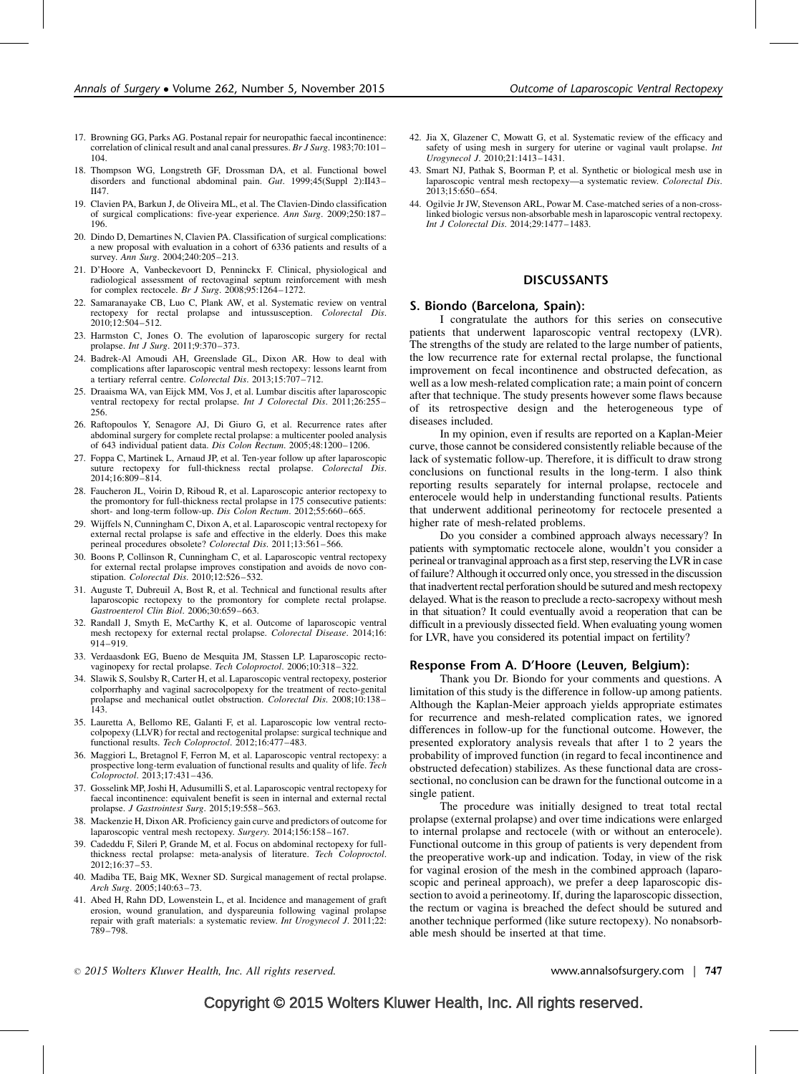- <span id="page-5-0"></span>17. Browning GG, Parks AG. Postanal repair for neuropathic faecal incontinence: correlation of clinical result and anal canal pressures. Br J Surg. 1983;70:101-104.
- 18. Thompson WG, Longstreth GF, Drossman DA, et al. Functional bowel disorders and functional abdominal pain. Gut. 1999;45(Suppl 2):II43– II47.
- 19. Clavien PA, Barkun J, de Oliveira ML, et al. The Clavien-Dindo classification of surgical complications: five-year experience. Ann Surg. 2009;250:187– 196.
- 20. Dindo D, Demartines N, Clavien PA. Classification of surgical complications: a new proposal with evaluation in a cohort of 6336 patients and results of a survey. Ann Surg. 2004;240:205–213.
- 21. D'Hoore A, Vanbeckevoort D, Penninckx F. Clinical, physiological and radiological assessment of rectovaginal septum reinforcement with mesh for complex rectocele. Br J Surg.  $2008;95:1264-1272$ .
- 22. Samaranayake CB, Luo C, Plank AW, et al. Systematic review on ventral rectopexy for rectal prolapse and intussusception. Colorectal Dis.  $2010:12:504-512$ .
- 23. Harmston C, Jones O. The evolution of laparoscopic surgery for rectal prolapse. Int J Surg. 2011;9:370–373.
- 24. Badrek-Al Amoudi AH, Greenslade GL, Dixon AR. How to deal with complications after laparoscopic ventral mesh rectopexy: lessons learnt from<br>a tertiary referral centre. *Colorectal Dis*. 2013;15:707–712.
- 25. Draaisma WA, van Eijck MM, Vos J, et al. Lumbar discitis after laparoscopic ventral rectopexy for rectal prolapse. Int J Colorectal Dis. 2011;26:255-256.
- 26. Raftopoulos Y, Senagore AJ, Di Giuro G, et al. Recurrence rates after abdominal surgery for complete rectal prolapse: a multicenter pooled analysis of 643 individual patient data. Dis Colon Rectum. 2005;48:1200–1206.
- 27. Foppa C, Martinek L, Arnaud JP, et al. Ten-year follow up after laparoscopic suture rectopexy for full-thickness rectal prolapse. Colorectal Dis. 2014;16:809–814.
- 28. Faucheron JL, Voirin D, Riboud R, et al. Laparoscopic anterior rectopexy to the promontory for full-thickness rectal prolapse in 175 consecutive patients: short- and long-term follow-up. Dis Colon Rectum. 2012;55:660-665.
- 29. Wijffels N, Cunningham C, Dixon A, et al. Laparoscopic ventral rectopexy for external rectal prolapse is safe and effective in the elderly. Does this make perineal procedures obsolete? Colorectal Dis. 2011;13:561-566.
- 30. Boons P, Collinson R, Cunningham C, et al. Laparoscopic ventral rectopexy for external rectal prolapse improves constipation and avoids de novo constipation. Colorectal Dis. 2010;12:526-532.
- 31. Auguste T, Dubreuil A, Bost R, et al. Technical and functional results after laparoscopic rectopexy to the promontory for complete rectal prolapse. Gastroenterol Clin Biol. 2006;30:659–663.
- 32. Randall J, Smyth E, McCarthy K, et al. Outcome of laparoscopic ventral mesh rectopexy for external rectal prolapse. Colorectal Disease. 2014;16: 914–919.
- 33. Verdaasdonk EG, Bueno de Mesquita JM, Stassen LP. Laparoscopic rectovaginopexy for rectal prolapse. Tech Coloproctol. 2006;10:318–322.
- 34. Slawik S, Soulsby R, Carter H, et al. Laparoscopic ventral rectopexy, posterior colporrhaphy and vaginal sacrocolpopexy for the treatment of recto-genital prolapse and mechanical outlet obstruction. Colorectal Dis. 2008;10:138-143.
- 35. Lauretta A, Bellomo RE, Galanti F, et al. Laparoscopic low ventral rectocolpopexy (LLVR) for rectal and rectogenital prolapse: surgical technique and functional results. Tech Coloproctol. 2012;16:477–483.
- 36. Maggiori L, Bretagnol F, Ferron M, et al. Laparoscopic ventral rectopexy: a prospective long-term evaluation of functional results and quality of life. Tech Coloproctol. 2013;17:431–436.
- 37. Gosselink MP, Joshi H, Adusumilli S, et al. Laparoscopic ventral rectopexy for faecal incontinence: equivalent benefit is seen in internal and external rectal prolapse. J Gastrointest Surg. 2015;19:558-563.
- 38. Mackenzie H, Dixon AR. Proficiency gain curve and predictors of outcome for laparoscopic ventral mesh rectopexy. Surgery. 2014;156:158–167.
- 39. Cadeddu F, Sileri P, Grande M, et al. Focus on abdominal rectopexy for fullthickness rectal prolapse: meta-analysis of literature. Tech Coloproctol. 2012;16:37–53.
- 40. Madiba TE, Baig MK, Wexner SD. Surgical management of rectal prolapse. Arch Surg. 2005;140:63–73.
- 41. Abed H, Rahn DD, Lowenstein L, et al. Incidence and management of graft erosion, wound granulation, and dyspareunia following vaginal prolapse repair with graft materials: a systematic review. Int Urogynecol J. 2011;22: 789–798.
- 42. Jia X, Glazener C, Mowatt G, et al. Systematic review of the efficacy and safety of using mesh in surgery for uterine or vaginal vault prolapse. Int Urogynecol J. 2010;21:1413–1431.
- 43. Smart NJ, Pathak S, Boorman P, et al. Synthetic or biological mesh use in laparoscopic ventral mesh rectopexy—a systematic review. Colorectal Dis. 2013;15:650–654.
- 44. Ogilvie Jr JW, Stevenson ARL, Powar M. Case-matched series of a non-crosslinked biologic versus non-absorbable mesh in laparoscopic ventral rectopexy. Int J Colorectal Dis. 2014;29:1477–1483.

## DISCUSSANTS

## S. Biondo (Barcelona, Spain):

I congratulate the authors for this series on consecutive patients that underwent laparoscopic ventral rectopexy (LVR). The strengths of the study are related to the large number of patients, the low recurrence rate for external rectal prolapse, the functional improvement on fecal incontinence and obstructed defecation, as well as a low mesh-related complication rate; a main point of concern after that technique. The study presents however some flaws because of its retrospective design and the heterogeneous type of diseases included.

In my opinion, even if results are reported on a Kaplan-Meier curve, those cannot be considered consistently reliable because of the lack of systematic follow-up. Therefore, it is difficult to draw strong conclusions on functional results in the long-term. I also think reporting results separately for internal prolapse, rectocele and enterocele would help in understanding functional results. Patients that underwent additional perineotomy for rectocele presented a higher rate of mesh-related problems.

Do you consider a combined approach always necessary? In patients with symptomatic rectocele alone, wouldn't you consider a perineal or tranvaginal approach as a first step, reserving the LVR in case of failure? Although it occurred only once, you stressed in the discussion that inadvertent rectal perforation should be sutured and mesh rectopexy delayed. What is the reason to preclude a recto-sacropexy without mesh in that situation? It could eventually avoid a reoperation that can be difficult in a previously dissected field. When evaluating young women for LVR, have you considered its potential impact on fertility?

## Response From A. D'Hoore (Leuven, Belgium):

Thank you Dr. Biondo for your comments and questions. A limitation of this study is the difference in follow-up among patients. Although the Kaplan-Meier approach yields appropriate estimates for recurrence and mesh-related complication rates, we ignored differences in follow-up for the functional outcome. However, the presented exploratory analysis reveals that after 1 to 2 years the probability of improved function (in regard to fecal incontinence and obstructed defecation) stabilizes. As these functional data are crosssectional, no conclusion can be drawn for the functional outcome in a single patient.

The procedure was initially designed to treat total rectal prolapse (external prolapse) and over time indications were enlarged to internal prolapse and rectocele (with or without an enterocele). Functional outcome in this group of patients is very dependent from the preoperative work-up and indication. Today, in view of the risk for vaginal erosion of the mesh in the combined approach (laparoscopic and perineal approach), we prefer a deep laparoscopic dissection to avoid a perineotomy. If, during the laparoscopic dissection, the rectum or vagina is breached the defect should be sutured and another technique performed (like suture rectopexy). No nonabsorbable mesh should be inserted at that time.

2015 Wolters Kluwer Health, Inc. All rights reserved. www.annalsofsurgery.com | 747